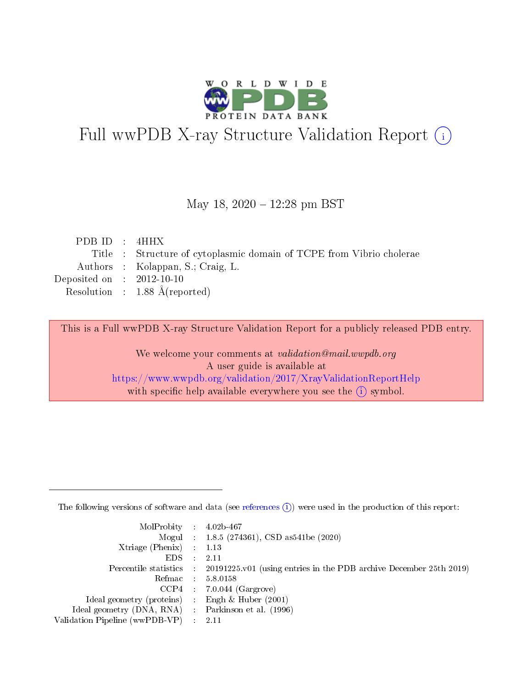

# Full wwPDB X-ray Structure Validation Report (i)

#### May 18, 2020 - 12:28 pm BST

| PDB ID : 4HHX               |                                                                      |
|-----------------------------|----------------------------------------------------------------------|
|                             | Title : Structure of cytoplasmic domain of TCPE from Vibrio cholerae |
|                             | Authors : Kolappan, S.; Craig, L.                                    |
| Deposited on : $2012-10-10$ |                                                                      |
|                             | Resolution : $1.88 \text{ Å}$ (reported)                             |
|                             |                                                                      |

This is a Full wwPDB X-ray Structure Validation Report for a publicly released PDB entry.

We welcome your comments at validation@mail.wwpdb.org A user guide is available at <https://www.wwpdb.org/validation/2017/XrayValidationReportHelp> with specific help available everywhere you see the  $(i)$  symbol.

The following versions of software and data (see [references](https://www.wwpdb.org/validation/2017/XrayValidationReportHelp#references)  $(1)$ ) were used in the production of this report:

| $MolProbability$ : 4.02b-467                        |                                                                                            |
|-----------------------------------------------------|--------------------------------------------------------------------------------------------|
|                                                     | Mogul : 1.8.5 (274361), CSD as 541be (2020)                                                |
| Xtriage (Phenix) $: 1.13$                           |                                                                                            |
| EDS :                                               | -2.11                                                                                      |
|                                                     | Percentile statistics : 20191225.v01 (using entries in the PDB archive December 25th 2019) |
| Refmac 58.0158                                      |                                                                                            |
|                                                     | $CCP4$ 7.0.044 (Gargrove)                                                                  |
| Ideal geometry (proteins) : Engh $\&$ Huber (2001)  |                                                                                            |
| Ideal geometry (DNA, RNA) : Parkinson et al. (1996) |                                                                                            |
| Validation Pipeline (wwPDB-VP) : 2.11               |                                                                                            |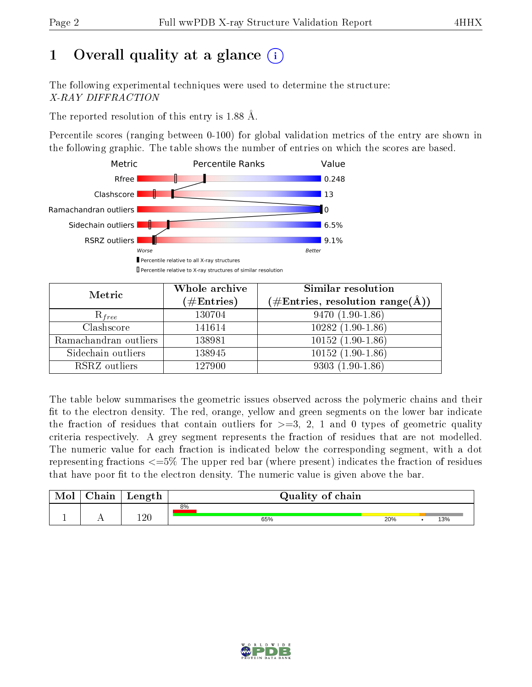# 1 [O](https://www.wwpdb.org/validation/2017/XrayValidationReportHelp#overall_quality)verall quality at a glance  $(i)$

The following experimental techniques were used to determine the structure: X-RAY DIFFRACTION

The reported resolution of this entry is 1.88 Å.

Percentile scores (ranging between 0-100) for global validation metrics of the entry are shown in the following graphic. The table shows the number of entries on which the scores are based.



| Metric                | Whole archive<br>$(\#\mathrm{Entries})$ | Similar resolution<br>$(\#\text{Entries},\,\text{resolution}\,\,\text{range}(\textup{\AA}))$ |  |  |
|-----------------------|-----------------------------------------|----------------------------------------------------------------------------------------------|--|--|
| $R_{free}$            | 130704                                  | $9470(1.90-1.86)$                                                                            |  |  |
| Clashscore            | 141614                                  | $10282(1.90-1.86)$                                                                           |  |  |
| Ramachandran outliers | 138981                                  | $10152(1.90-1.86)$                                                                           |  |  |
| Sidechain outliers    | 138945                                  | $10152(1.90-1.86)$                                                                           |  |  |
| RSRZ outliers         | 127900                                  | $9303(1.90-1.86)$                                                                            |  |  |

The table below summarises the geometric issues observed across the polymeric chains and their fit to the electron density. The red, orange, yellow and green segments on the lower bar indicate the fraction of residues that contain outliers for  $>=3, 2, 1$  and 0 types of geometric quality criteria respectively. A grey segment represents the fraction of residues that are not modelled. The numeric value for each fraction is indicated below the corresponding segment, with a dot representing fractions <=5% The upper red bar (where present) indicates the fraction of residues that have poor fit to the electron density. The numeric value is given above the bar.

| Mol | $\cap$ hain | Length |    | Quality of chain |     |  |     |  |
|-----|-------------|--------|----|------------------|-----|--|-----|--|
|     |             |        | 8% |                  |     |  |     |  |
|     |             | 1 ດ ∩  |    | 65%              | 20% |  | 13% |  |

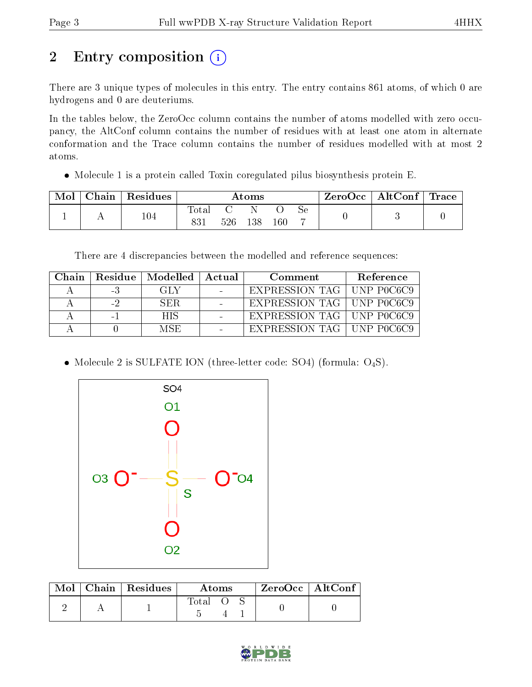# 2 Entry composition (i)

There are 3 unique types of molecules in this entry. The entry contains 861 atoms, of which 0 are hydrogens and 0 are deuteriums.

In the tables below, the ZeroOcc column contains the number of atoms modelled with zero occupancy, the AltConf column contains the number of residues with at least one atom in alternate conformation and the Trace column contains the number of residues modelled with at most 2 atoms.

• Molecule 1 is a protein called Toxin coregulated pilus biosynthesis protein E.

| Mol | Chain | Residues | Atoms        |  |         | ZeroOcc | $\vert$ AltConf $\vert$ | $\Gamma$ Trace |  |  |
|-----|-------|----------|--------------|--|---------|---------|-------------------------|----------------|--|--|
|     |       | $104\,$  | Total<br>831 |  | 526 138 | $160\,$ | Sе                      |                |  |  |

There are 4 discrepancies between the modelled and reference sequences:

| Chain |      | Residue   Modelled | – Actual | Comment                     | Reference   |
|-------|------|--------------------|----------|-----------------------------|-------------|
|       | -3   | GLY                |          | EXPRESSION TAG   UNP P0C6C9 |             |
|       | $-2$ | SER                |          | EXPRESSION TAG   UNP P0C6C9 |             |
|       |      | НS                 |          | EXPRESSION TAG   UNP P0C6C9 |             |
|       |      | MSE                |          | EXPRESSION TAG              | LINP POC6C9 |

• Molecule 2 is SULFATE ION (three-letter code: SO4) (formula:  $O_4S$ ).



|  | $\text{Mol}$   Chain   Residues | Atoms       |  | $ZeroOcc$   AltConf |  |  |
|--|---------------------------------|-------------|--|---------------------|--|--|
|  |                                 | $\rm Total$ |  |                     |  |  |

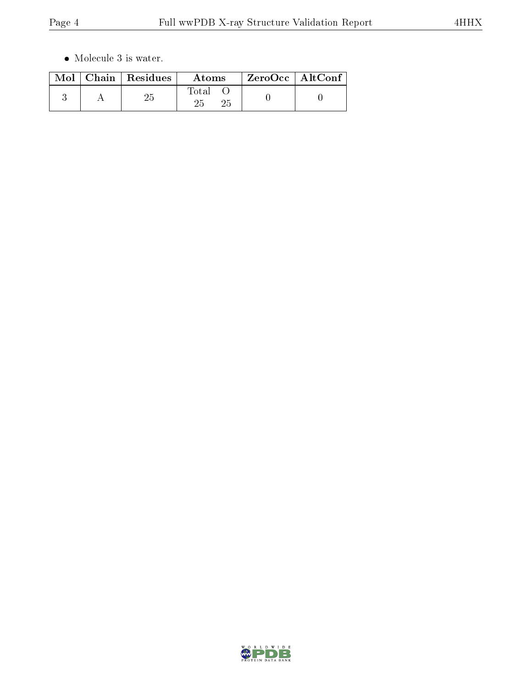$\bullet\,$  Molecule 3 is water.

|  | $\text{Mol}$   Chain   Residues | <b>Atoms</b> | $ZeroOcc \mid AltConf \mid$ |  |
|--|---------------------------------|--------------|-----------------------------|--|
|  |                                 | Total        |                             |  |

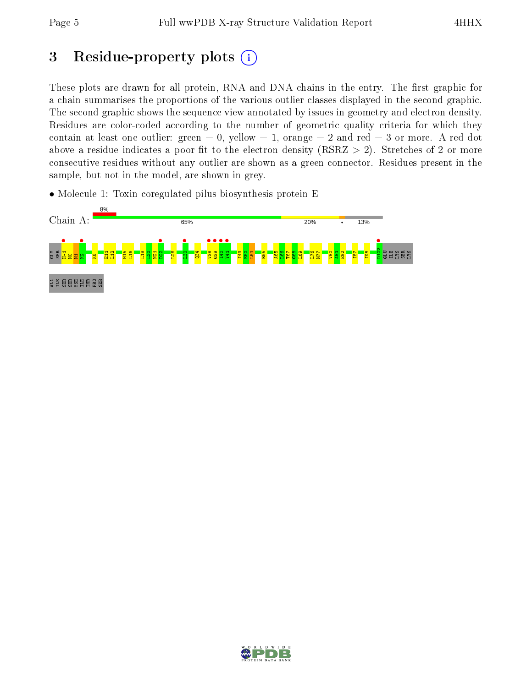# 3 Residue-property plots  $(i)$

These plots are drawn for all protein, RNA and DNA chains in the entry. The first graphic for a chain summarises the proportions of the various outlier classes displayed in the second graphic. The second graphic shows the sequence view annotated by issues in geometry and electron density. Residues are color-coded according to the number of geometric quality criteria for which they contain at least one outlier: green  $= 0$ , yellow  $= 1$ , orange  $= 2$  and red  $= 3$  or more. A red dot above a residue indicates a poor fit to the electron density (RSRZ  $> 2$ ). Stretches of 2 or more consecutive residues without any outlier are shown as a green connector. Residues present in the sample, but not in the model, are shown in grey.

• Molecule 1: Toxin coregulated pilus biosynthesis protein E



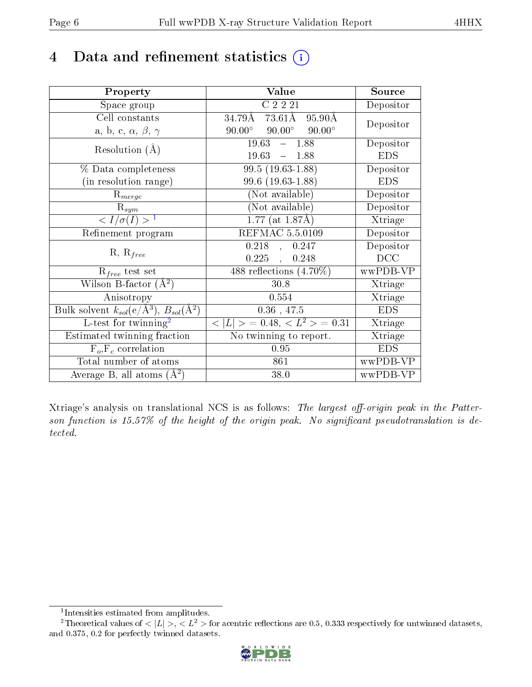## 4 Data and refinement statistics  $(i)$

| Property                                                                | Value                                            | Source     |
|-------------------------------------------------------------------------|--------------------------------------------------|------------|
| Space group                                                             | C2221                                            | Depositor  |
| Cell constants                                                          | 34.79Å 73.61Å<br>95.90Å                          | Depositor  |
| a, b, c, $\alpha$ , $\beta$ , $\gamma$                                  | $90.00^{\circ}$ $90.00^{\circ}$<br>$90.00^\circ$ |            |
| Resolution $(A)$                                                        | $\overline{19.63 - 1.88}$                        | Depositor  |
|                                                                         | $19.63 - 1.88$                                   | <b>EDS</b> |
| % Data completeness                                                     | $99.5(19.63-1.88)$                               | Depositor  |
| (in resolution range)                                                   | 99.6 (19.63-1.88)                                | <b>EDS</b> |
| $R_{merge}$                                                             | (Not available)                                  | Depositor  |
| $\mathrm{R}_{sym}$                                                      | (Not available)                                  | Depositor  |
| $\langle I/\sigma(I) \rangle^{-1}$                                      | $1.77$ (at 1.87Å)                                | Xtriage    |
| Refinement program                                                      | REFMAC 5.5.0109                                  | Depositor  |
|                                                                         | $0.218$ ,<br>0.247                               | Depositor  |
| $R, R_{free}$                                                           | $0.225$ ,<br>0.248                               | DCC        |
| $R_{free}$ test set                                                     | 488 reflections $(4.70\%)$                       | wwPDB-VP   |
| Wilson B-factor $(\AA^2)$                                               | 30.8                                             | Xtriage    |
| Anisotropy                                                              | 0.554                                            | Xtriage    |
| Bulk solvent $k_{sol}(\mathrm{e}/\mathrm{A}^3),\,B_{sol}(\mathrm{A}^2)$ | $0.36$ , 47.5                                    | <b>EDS</b> |
| L-test for $\mathrm{twinning}^2$                                        | $< L >$ = 0.48, $< L2 >$ = 0.31                  | Xtriage    |
| Estimated twinning fraction                                             | No twinning to report.                           | Xtriage    |
| $F_o, F_c$ correlation                                                  | 0.95                                             | <b>EDS</b> |
| Total number of atoms                                                   | 861                                              | wwPDB-VP   |
| Average B, all atoms $(A^2)$                                            | 38.0                                             | wwPDB-VP   |

Xtriage's analysis on translational NCS is as follows: The largest off-origin peak in the Patterson function is  $15.57\%$  of the height of the origin peak. No significant pseudotranslation is detected.

<sup>&</sup>lt;sup>2</sup>Theoretical values of  $\langle |L| \rangle$ ,  $\langle L^2 \rangle$  for acentric reflections are 0.5, 0.333 respectively for untwinned datasets, and 0.375, 0.2 for perfectly twinned datasets.



<span id="page-5-1"></span><span id="page-5-0"></span><sup>1</sup> Intensities estimated from amplitudes.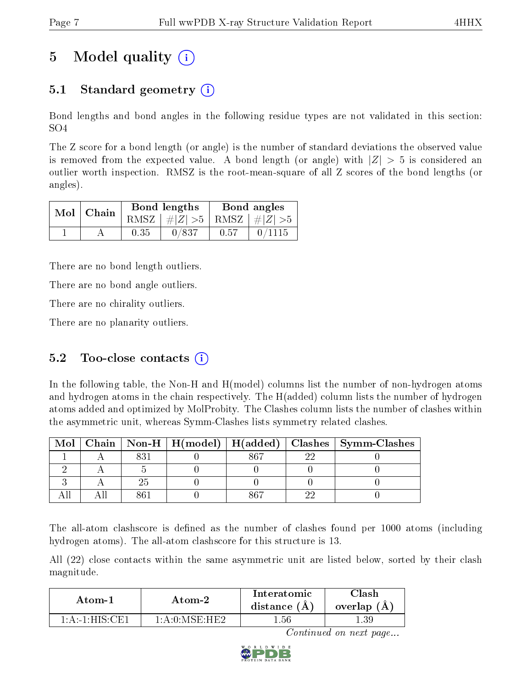# 5 Model quality  $(i)$

## 5.1 Standard geometry  $\overline{()}$

Bond lengths and bond angles in the following residue types are not validated in this section: SO4

The Z score for a bond length (or angle) is the number of standard deviations the observed value is removed from the expected value. A bond length (or angle) with  $|Z| > 5$  is considered an outlier worth inspection. RMSZ is the root-mean-square of all Z scores of the bond lengths (or angles).

| $Mol$   Chain |      | Bond lengths                    | Bond angles |        |  |
|---------------|------|---------------------------------|-------------|--------|--|
|               |      | RMSZ $ #Z  > 5$ RMSZ $ #Z  > 5$ |             |        |  |
|               | 0.35 | 0/837                           | 0.57        | 0/1115 |  |

There are no bond length outliers.

There are no bond angle outliers.

There are no chirality outliers.

There are no planarity outliers.

### 5.2 Too-close contacts  $(i)$

In the following table, the Non-H and H(model) columns list the number of non-hydrogen atoms and hydrogen atoms in the chain respectively. The H(added) column lists the number of hydrogen atoms added and optimized by MolProbity. The Clashes column lists the number of clashes within the asymmetric unit, whereas Symm-Clashes lists symmetry related clashes.

| Mol |  |  | Chain   Non-H   H(model)   H(added)   Clashes   Symm-Clashes |
|-----|--|--|--------------------------------------------------------------|
|     |  |  |                                                              |
|     |  |  |                                                              |
|     |  |  |                                                              |
|     |  |  |                                                              |

The all-atom clashscore is defined as the number of clashes found per 1000 atoms (including hydrogen atoms). The all-atom clashscore for this structure is 13.

All (22) close contacts within the same asymmetric unit are listed below, sorted by their clash magnitude.

| Atom-2                                  |                    | Interatomic    | 7lash      |  |
|-----------------------------------------|--------------------|----------------|------------|--|
| Atom-1                                  |                    | distance $(A)$ | overlap (A |  |
| $1 \cdot A \cdot 1 \cdot HIS \cdot CH1$ | $1: A: 0:M$ SF·HF2 | .56            |            |  |

Continued on next page...

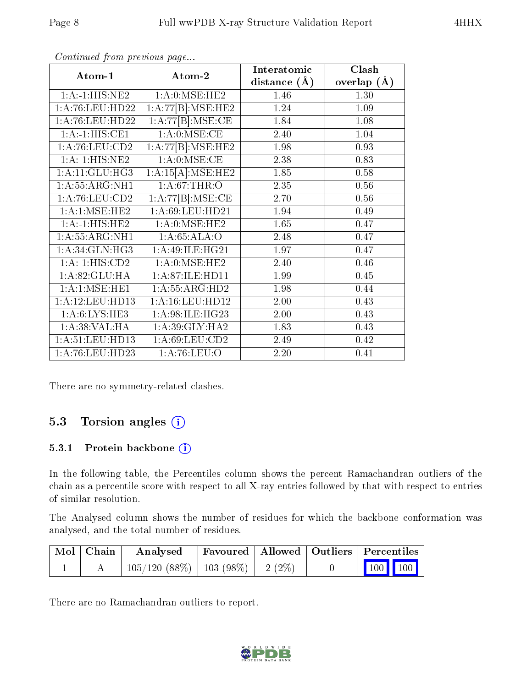|                    |                                       | Interatomic      | Clash           |
|--------------------|---------------------------------------|------------------|-----------------|
| Atom-1             | Atom-2                                | distance $(\AA)$ | overlap $(\AA)$ |
| 1:A:1:HIS:NE2      | 1: A: 0: MSE: HE2                     | 1.46             | 1.30            |
| 1:A:76:LEU:HD22    | $1:A:77[B]:\overline{\text{MSE:HE2}}$ | 1.24             | 1.09            |
| 1: A:76: LEU: HD22 | 1:A:77[B]:MSE:CE                      | 1.84             | 1.08            |
| $1:A:-1:HIS:CE1$   | 1: A:0: MSE:CE                        | 2.40             | 1.04            |
| 1: A:76: LEU:CD2   | 1:A:77[B]:MSE:HE2                     | 1.98             | 0.93            |
| 1:A:1:HIS:NE2      | 1: A:0: MSE:CE                        | 2.38             | 0.83            |
| 1:A:11:GLU:HG3     | 1:A:15[A]:MSE:HE2                     | 1.85             | 0.58            |
| 1:A:55:ARG:NH1     | 1: A:67:THR:O                         | 2.35             | 0.56            |
| 1: A:76: LEU:CD2   | 1:A:77[B]:MSE:CE                      | 2.70             | 0.56            |
| 1: A:1: MSE: HE2   | 1:A:69:LEU:HD21                       | 1.94             | 0.49            |
| 1:A:1:HIS:HE2      | 1: A: 0: MSE: HE2                     | 1.65             | 0.47            |
| 1: A: 55: ARG: NH1 | 1:A:65:ALA:O                          | 2.48             | 0.47            |
| 1: A:34: GLN: HG3  | 1:A:49:ILE:HG21                       | 1.97             | 0.47            |
| 1:A:1:HIS:CD2      | 1: A: 0: MSE: HE2                     | 2.40             | 0.46            |
| 1:A:82:GLU:HA      | 1:A:87:ILE:HD11                       | 1.99             | 0.45            |
| 1: A: 1: MSE: HE1  | 1:A:55:ARG:HD2                        | 1.98             | 0.44            |
| 1:A:12:LEU:HD13    | 1: A: 16: LEU: HD12                   | 2.00             | 0.43            |
| 1: A:6: LYS: HE3   | 1:A:98:ILE:HG23                       | 2.00             | 0.43            |
| 1: A:38: VAL:HA    | 1:A:39:GLY:HA2                        | 1.83             | 0.43            |
| 1:A:51:LEU:HD13    | 1: A:69: LEU:CD2                      | 2.49             | 0.42            |
| 1: A:76: LEU: HD23 | 1: A:76: LEU:O                        | 2.20             | 0.41            |

Continued from previous page...

There are no symmetry-related clashes.

### 5.3 Torsion angles (i)

#### 5.3.1 Protein backbone (i)

In the following table, the Percentiles column shows the percent Ramachandran outliers of the chain as a percentile score with respect to all X-ray entries followed by that with respect to entries of similar resolution.

The Analysed column shows the number of residues for which the backbone conformation was analysed, and the total number of residues.

| $\mid$ Mol $\mid$ Chain $\mid$ | Analysed                                | Favoured   Allowed   Outliers   Percentiles |  |                                                                                                                                                                                                                                                                                                                                                                                   |  |
|--------------------------------|-----------------------------------------|---------------------------------------------|--|-----------------------------------------------------------------------------------------------------------------------------------------------------------------------------------------------------------------------------------------------------------------------------------------------------------------------------------------------------------------------------------|--|
|                                | $105/120$ (88\%)   103 (98\%)   2 (2\%) |                                             |  | $\begin{array}{ c c c c c c c c c } \hline \multicolumn{1}{ c }{\hspace{1.2cm}100} & \multicolumn{1}{ c }{\hspace{1.2cm}100} & \multicolumn{1}{ c }{\hspace{1.2cm}100} & \multicolumn{1}{ c }{\hspace{1.2cm}100} & \multicolumn{1}{ c }{\hspace{1.2cm}100} & \multicolumn{1}{ c }{\hspace{1.2cm}100} & \multicolumn{1}{ c }{\hspace{1.2cm}100} & \multicolumn{1}{ c }{\hspace{1.$ |  |

There are no Ramachandran outliers to report.

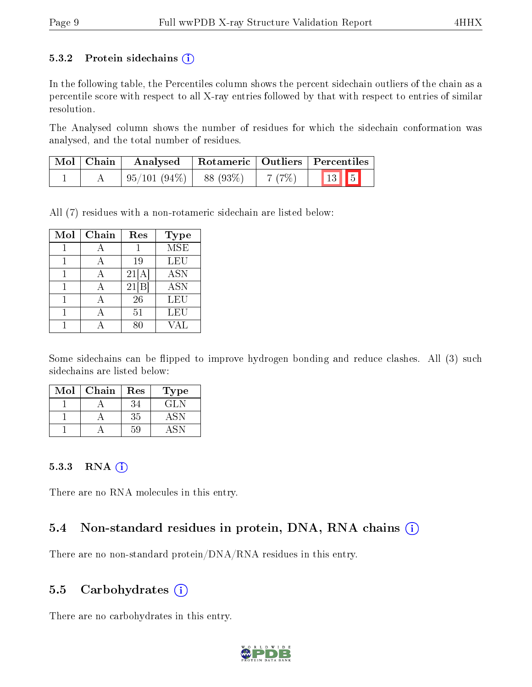#### 5.3.2 Protein sidechains  $(i)$

In the following table, the Percentiles column shows the percent sidechain outliers of the chain as a percentile score with respect to all X-ray entries followed by that with respect to entries of similar resolution.

The Analysed column shows the number of residues for which the sidechain conformation was analysed, and the total number of residues.

| $\mid$ Mol $\mid$ Chain $\mid$ | Rotameric   Outliers   Percentiles<br>Analysed |  |       |                          |
|--------------------------------|------------------------------------------------|--|-------|--------------------------|
|                                | $\mid 95/101 (94\%) \mid 88 (93\%)$            |  | 7(7%) | $\boxed{13}$ $\boxed{5}$ |

All (7) residues with a non-rotameric sidechain are listed below:

| Mol | Chain | Res   | <b>Type</b> |
|-----|-------|-------|-------------|
|     |       |       | <b>MSE</b>  |
|     |       | 19    | LEU         |
|     |       | 21[A] | <b>ASN</b>  |
|     |       | 21 B  | <b>ASN</b>  |
|     |       | 26    | LEU         |
|     |       | 51    | LEU         |
|     |       |       | 7A L        |

Some sidechains can be flipped to improve hydrogen bonding and reduce clashes. All (3) such sidechains are listed below:

| Mol | Chain | Res | Type |
|-----|-------|-----|------|
|     |       | 34  | GL N |
|     |       | 35  |      |
|     |       | 59  |      |

#### 5.3.3 RNA (i)

There are no RNA molecules in this entry.

### 5.4 Non-standard residues in protein, DNA, RNA chains (i)

There are no non-standard protein/DNA/RNA residues in this entry.

### 5.5 Carbohydrates  $(i)$

There are no carbohydrates in this entry.

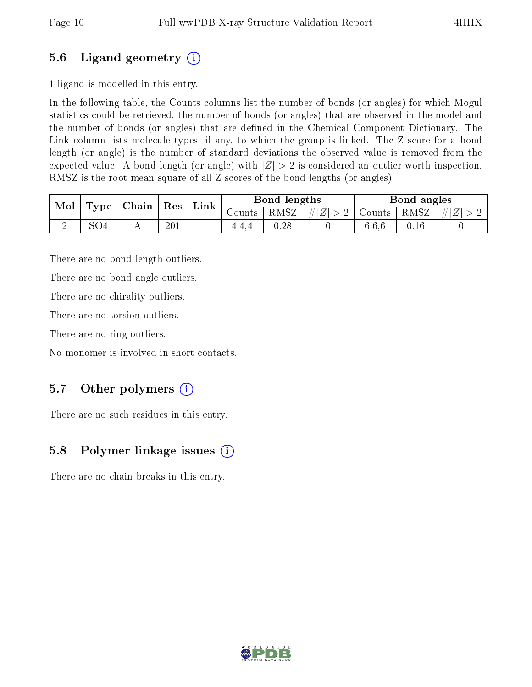## 5.6 Ligand geometry (i)

1 ligand is modelled in this entry.

In the following table, the Counts columns list the number of bonds (or angles) for which Mogul statistics could be retrieved, the number of bonds (or angles) that are observed in the model and the number of bonds (or angles) that are dened in the Chemical Component Dictionary. The Link column lists molecule types, if any, to which the group is linked. The Z score for a bond length (or angle) is the number of standard deviations the observed value is removed from the expected value. A bond length (or angle) with  $|Z| > 2$  is considered an outlier worth inspection. RMSZ is the root-mean-square of all Z scores of the bond lengths (or angles).

| Mol | $\mathbf{Type}$ | Chain | ${\rm Res}$ | Link   |              | Bond lengths |                          |        | Bond angles       |  |
|-----|-----------------|-------|-------------|--------|--------------|--------------|--------------------------|--------|-------------------|--|
|     |                 |       |             |        | $\sim$ ounts | RMSZ         | . $ #Z  > 2$   $\subset$ | Counts | RMSZ  <br>$\# Z $ |  |
|     | - 04ر           |       | 201         | $\sim$ | 1.4.4        | 0.28         |                          | 6.6.6  | $0.16\,$          |  |

There are no bond length outliers.

There are no bond angle outliers.

There are no chirality outliers.

There are no torsion outliers.

There are no ring outliers.

No monomer is involved in short contacts.

## 5.7 [O](https://www.wwpdb.org/validation/2017/XrayValidationReportHelp#nonstandard_residues_and_ligands)ther polymers  $(i)$

There are no such residues in this entry.

### 5.8 Polymer linkage issues  $(i)$

There are no chain breaks in this entry.

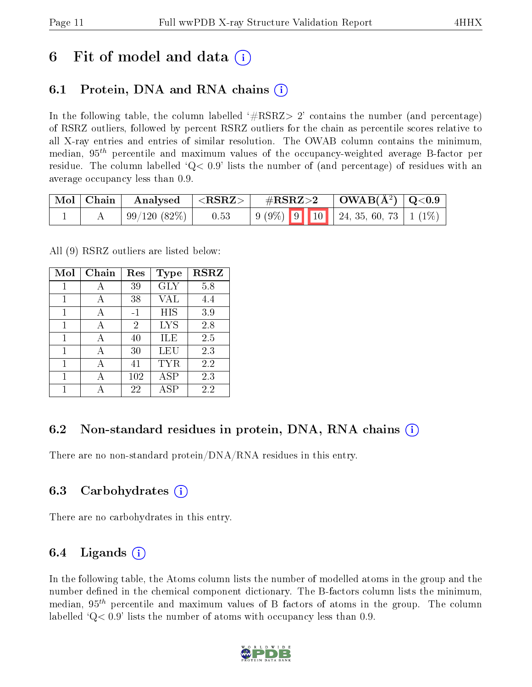## 6 Fit of model and data  $\left( \cdot \right)$

## 6.1 Protein, DNA and RNA chains (i)

In the following table, the column labelled  $#RSRZ>2'$  contains the number (and percentage) of RSRZ outliers, followed by percent RSRZ outliers for the chain as percentile scores relative to all X-ray entries and entries of similar resolution. The OWAB column contains the minimum, median,  $95<sup>th</sup>$  percentile and maximum values of the occupancy-weighted average B-factor per residue. The column labelled  $Q< 0.9$  lists the number of (and percentage) of residues with an average occupancy less than 0.9.

|  | $\mid$ Mol $\mid$ Chain $\mid$ Analysed $\mid$ <rsrz><math>\mid</math></rsrz> |      | $\rm \#RSRZ{>}2$ |  | $\vert$ OWAB( $\rm{\AA}^2$ ) $\vert$ Q<0.9 $\vert$                                                     |  |
|--|-------------------------------------------------------------------------------|------|------------------|--|--------------------------------------------------------------------------------------------------------|--|
|  | $\pm 99/120(82%)$                                                             | 0.53 |                  |  | $\begin{array}{ c c c c c c c c c } \hline 9 & 9 & 10 & 24 & 35 & 60 & 73 & 1 & 1\ \hline \end{array}$ |  |

All (9) RSRZ outliers are listed below:

| Mol | Chain | Res            | <b>Type</b> | <b>RSRZ</b> |
|-----|-------|----------------|-------------|-------------|
| 1   | А     | 39             | <b>GLY</b>  | 5.8         |
| 1   | А     | 38             | VAL         | 4.4         |
| 1   | А     | $-1$           | HIS         | 3.9         |
| 1   | А     | $\overline{2}$ | <b>LYS</b>  | 2.8         |
| 1   | A     | 40             | ILE         | 2.5         |
| 1   | А     | 30             | LEU         | 2.3         |
| 1   | А     | 41             | TYR         | 2.2         |
| 1   | А     | 102            | <b>ASP</b>  | 2.3         |
|     |       | 22             | ASP         | 2.2         |

### 6.2 Non-standard residues in protein, DNA, RNA chains  $(i)$

There are no non-standard protein/DNA/RNA residues in this entry.

### 6.3 Carbohydrates (i)

There are no carbohydrates in this entry.

### 6.4 Ligands  $(i)$

In the following table, the Atoms column lists the number of modelled atoms in the group and the number defined in the chemical component dictionary. The B-factors column lists the minimum, median,  $95<sup>th</sup>$  percentile and maximum values of B factors of atoms in the group. The column labelled  $Q< 0.9$  lists the number of atoms with occupancy less than 0.9.